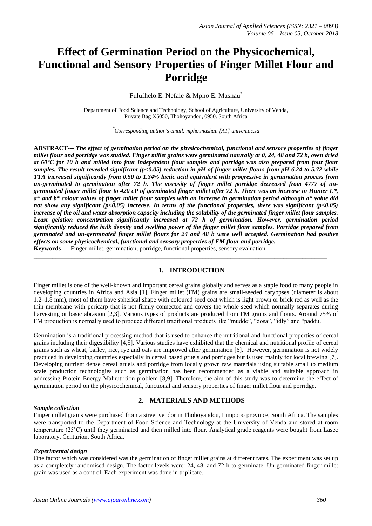# **Effect of Germination Period on the Physicochemical, Functional and Sensory Properties of Finger Millet Flour and Porridge**

Fulufhelo.E. Nefale & Mpho E. Mashau\*

Department of Food Science and Technology, School of Agriculture, University of Venda, Private Bag X5050, Thohoyandou, 0950. South Africa

*\* Corresponding author's email: mpho.mashau [AT] univen.ac.za* **\_\_\_\_\_\_\_\_\_\_\_\_\_\_\_\_\_\_\_\_\_\_\_\_\_\_\_\_\_\_\_\_\_\_\_\_\_\_\_\_\_\_\_\_\_\_\_\_\_\_\_\_\_\_\_\_\_\_\_\_\_\_\_\_\_\_\_\_\_\_\_\_\_\_\_\_\_\_\_\_\_\_\_\_\_\_\_\_\_\_\_\_\_\_\_\_\_\_\_\_\_\_\_\_\_\_\_\_**

**ABSTRACT---** *The effect of germination period on the physicochemical, functional and sensory properties of finger millet flour and porridge was studied. Finger millet grains were germinated naturally at 0, 24, 48 and 72 h, oven dried at 60°C for 10 h and milled into four independent flour samples and porridge was also prepared from four flour samples. The result revealed significant (p<0.05) reduction in pH of finger millet flours from pH 6.24 to 5.72 while TTA increased significantly from 0.50 to 1.34% lactic acid equivalent with progressive in germination process from un-germinated to germination after 72 h. The viscosity of finger millet porridge decreased from 4777 of ungerminated finger millet flour to 420 cP of germinated finger millet after 72 h. There was an increase in Hunter L\*, a\* and b\* colour values of finger millet flour samples with an increase in germination period although a\* value did not show any significant (p<0.05) increase. In terms of the functional properties, there was significant (p<0.05) increase of the oil and water absorption capacity including the solubility of the germinated finger millet flour samples. Least gelation concentration significantly increased at 72 h of germination. However, germination period significantly reduced the bulk density and swelling power of the finger millet flour samples. Porridge prepared from germinated and un-germinated finger millet flours for 24 and 48 h were well accepted. Germination had positive effects on some physicochemical, functional and sensory properties of FM flour and porridge.* **Keywords----** Finger millet, germination, porridge, functional properties, sensory evaluation

**1. INTRODUCTION**

\_\_\_\_\_\_\_\_\_\_\_\_\_\_\_\_\_\_\_\_\_\_\_\_\_\_\_\_\_\_\_\_\_\_\_\_\_\_\_\_\_\_\_\_\_\_\_\_\_\_\_\_\_\_\_\_\_\_\_\_\_\_\_\_\_\_\_\_\_\_\_\_\_\_\_\_\_\_\_\_\_\_\_\_\_\_\_\_\_\_\_\_\_\_

Finger millet is one of the well-known and important cereal grains globally and serves as a staple food to many people in developing countries in Africa and Asia [1]. Finger millet (FM) grains are small-seeded caryopses (diameter is about 1.2–1.8 mm), most of them have spherical shape with coloured seed coat which is light brown or brick red as well as the thin membrane with pericarp that is not firmly connected and covers the whole seed which normally separates during harvesting or basic abrasion [2,3]. Various types of products are produced from FM grains and flours. Around 75% of FM production is normally used to produce different traditional products like "mudde", "dosa", "idly" and "paddu.

Germination is a traditional processing method that is used to enhance the nutritional and functional properties of cereal grains including their digestibility [4,5]. Various studies have exhibited that the chemical and nutritional profile of cereal grains such as wheat, barley, rice, rye and oats are improved after germination [6]. However, germination is not widely practiced in developing countries especially in cereal based gruels and porridges but is used mainly for local brewing [7]. Developing nutrient dense cereal gruels and porridge from locally grown raw materials using suitable small to medium scale production technologies such as germination has been recommended as a viable and suitable approach in addressing Protein Energy Malnutrition problem [8,9]. Therefore, the aim of this study was to determine the effect of germination period on the physicochemical, functional and sensory properties of finger millet flour and porridge.

#### *Sample collection*

# **2. MATERIALS AND METHODS**

Finger millet grains were purchased from a street vendor in Thohoyandou, Limpopo province, South Africa. The samples were transported to the Department of Food Science and Technology at the University of Venda and stored at room temperature (25˚C) until they germinated and then milled into flour. Analytical grade reagents were bought from Lasec laboratory, Centurion, South Africa.

#### *Experimental design*

One factor which was considered was the germination of finger millet grains at different rates. The experiment was set up as a completely randomised design. The factor levels were: 24, 48, and 72 h to germinate. Un-germinated finger millet grain was used as a control. Each experiment was done in triplicate.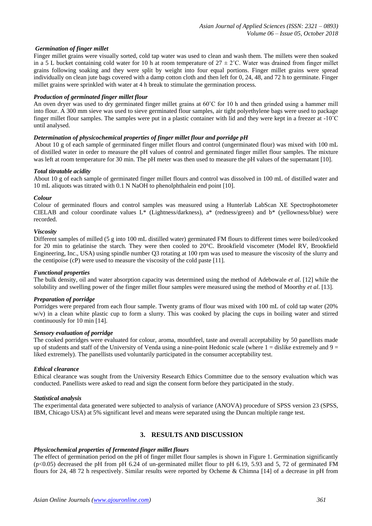# *Germination of finger millet*

Finger millet grains were visually sorted, cold tap water was used to clean and wash them. The millets were then soaked in a 5 L bucket containing cold water for 10 h at room temperature of  $27 \pm 2$ °C. Water was drained from finger millet grains following soaking and they were split by weight into four equal portions. Finger millet grains were spread individually on clean jute bags covered with a damp cotton cloth and then left for 0, 24, 48, and 72 h to germinate. Finger millet grains were sprinkled with water at 4 h break to stimulate the germination process.

#### *Production of germinated finger millet flour*

An oven dryer was used to dry germinated finger millet grains at 60˚C for 10 h and then grinded using a hammer mill into flour. A 300 mm sieve was used to sieve germinated flour samples, air tight polyethylene bags were used to package finger millet flour samples. The samples were put in a plastic container with lid and they were kept in a freezer at -10˚C until analysed.

#### *Determination of physicochemical properties of finger millet flour and porridge pH*

About 10 g of each sample of germinated finger millet flours and control (ungerminated flour) was mixed with 100 mL of distilled water in order to measure the pH values of control and germinated finger millet flour samples. The mixture was left at room temperature for 30 min. The pH meter was then used to measure the pH values of the supernatant [10].

#### *Total titratable acidity*

About 10 g of each sample of germinated finger millet flours and control was dissolved in 100 mL of distilled water and 10 mL aliquots was titrated with 0.1 N NaOH to phenolphthalein end point [10].

#### *Colour*

Colour of germinated flours and control samples was measured using a Hunterlab LabScan XE Spectrophotometer CIELAB and colour coordinate values L\* (Lightness/darkness), a\* (redness/green) and b\* (yellowness/blue) were recorded.

#### *Viscosity*

Different samples of milled (5 g into 100 mL distilled water) germinated FM flours to different times were boiled/cooked for 20 min to gelatinise the starch. They were then cooled to 20°C. Brookfield viscometer (Model RV, Brookfield Engineering, Inc., USA) using spindle number Q3 rotating at 100 rpm was used to measure the viscosity of the slurry and the centipoise (cP) were used to measure the viscosity of the cold paste [11].

# *Functional properties*

The bulk density, oil and water absorption capacity was determined using the method of Adebowale *et al*. [12] while the solubility and swelling power of the finger millet flour samples were measured using the method of Moorthy *et al*. [13].

# *Preparation of porridge*

Porridges were prepared from each flour sample. Twenty grams of flour was mixed with 100 mL of cold tap water (20% w/v) in a clean white plastic cup to form a slurry. This was cooked by placing the cups in boiling water and stirred continuously for 10 min [14].

#### *Sensory evaluation of porridge*

The cooked porridges were evaluated for colour, aroma, mouthfeel, taste and overall acceptability by 50 panellists made up of students and staff of the University of Venda using a nine-point Hedonic scale (where  $1 =$  dislike extremely and  $9 =$ liked extremely). The panellists used voluntarily participated in the consumer acceptability test.

# *Ethical clearance*

Ethical clearance was sought from the University Research Ethics Committee due to the sensory evaluation which was conducted. Panellists were asked to read and sign the consent form before they participated in the study.

#### *Statistical analysis*

The experimental data generated were subjected to analysis of variance (ANOVA) procedure of SPSS version 23 (SPSS, IBM, Chicago USA) at 5% significant level and means were separated using the Duncan multiple range test.

# **3. RESULTS AND DISCUSSION**

# *Physicochemical properties of fermented finger millet flours*

The effect of germination period on the pH of finger millet flour samples is shown in Figure 1. Germination significantly  $(p<0.05)$  decreased the pH from pH 6.24 of un-germinated millet flour to pH 6.19, 5.93 and 5, 72 of germinated FM flours for 24, 48 72 h respectively. Similar results were reported by Ocheme & Chimna [14] of a decrease in pH from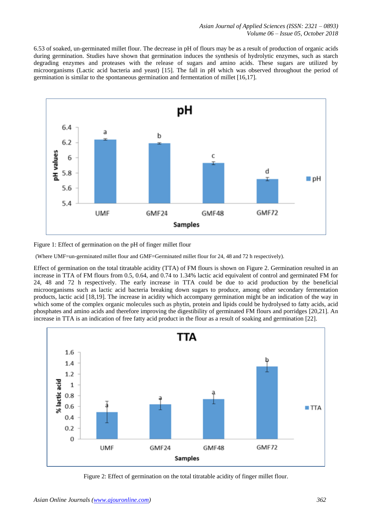6.53 of soaked, un-germinated millet flour. The decrease in pH of flours may be as a result of production of organic acids during germination. Studies have shown that germination induces the synthesis of hydrolytic enzymes, such as starch degrading enzymes and proteases with the release of sugars and amino acids. These sugars are utilized by microorganisms (Lactic acid bacteria and yeast) [15]. The fall in pH which was observed throughout the period of germination is similar to the spontaneous germination and fermentation of millet [16,17].



Figure 1: Effect of germination on the pH of finger millet flour

(Where UMF=un-germinated millet flour and GMF=Germinated millet flour for 24, 48 and 72 h respectively).

Effect of germination on the total titratable acidity (TTA) of FM flours is shown on Figure 2. Germination resulted in an increase in TTA of FM flours from 0.5, 0.64, and 0.74 to 1.34% lactic acid equivalent of control and germinated FM for 24, 48 and 72 h respectively. The early increase in TTA could be due to acid production by the beneficial microorganisms such as lactic acid bacteria breaking down sugars to produce, among other secondary fermentation products, lactic acid [18,19]. The increase in acidity which accompany germination might be an indication of the way in which some of the complex organic molecules such as phytin, protein and lipids could be hydrolysed to fatty acids, acid phosphates and amino acids and therefore improving the digestibility of germinated FM flours and porridges [20,21]. An increase in TTA is an indication of free fatty acid product in the flour as a result of soaking and germination [22].



Figure 2: Effect of germination on the total titratable acidity of finger millet flour.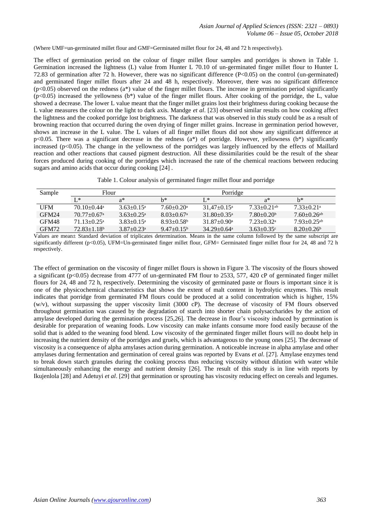(Where UMF=un-germinated millet flour and GMF=Germinated millet flour for 24, 48 and 72 h respectively).

The effect of germination period on the colour of finger millet flour samples and porridges is shown in Table 1. Germination increased the lightness (L) value from Hunter L 70.10 of un-germinated finger millet flour to Hunter L 72.83 of germination after 72 h. However, there was no significant difference (P<0.05) on the control (un-germinated) and germinated finger millet flours after 24 and 48 h, respectively. Moreover, there was no significant difference  $(p<0.05)$  observed on the redness (a\*) value of the finger millet flours. The increase in germination period significantly  $(p<0.05)$  increased the yellowness (b<sup>\*</sup>) value of the finger millet flours. After cooking of the porridge, the L, value showed a decrease. The lower L value meant that the finger millet grains lost their brightness during cooking because the L value measures the colour on the light to dark axis. Mandge *et al*. [23] observed similar results on how cooking affect the lightness and the cooked porridge lost brightness. The darkness that was observed in this study could be as a result of browning reaction that occurred during the oven drying of finger millet grains. Increase in germination period however, shows an increase in the L value. The L values of all finger millet flours did not show any significant difference at p<0.05. There was a significant decrease in the redness ( $a^*$ ) of porridge. However, yellowness ( $b^*$ ) significantly increased (p<0.05). The change in the yellowness of the porridges was largely influenced by the effects of Maillard reaction and other reactions that caused pigment destruction. All these dissimilarities could be the result of the shear forces produced during cooking of the porridges which increased the rate of the chemical reactions between reducing sugars and amino acids that occur during cooking [24].

Table 1. Colour analysis of germinated finger millet flour and porridge

| Sample            | Flour                         |                            | Porridge                     |                               |                             |                             |  |
|-------------------|-------------------------------|----------------------------|------------------------------|-------------------------------|-----------------------------|-----------------------------|--|
|                   | $L^*$                         | $a^*$                      | h*                           | $L^*$                         | $a^*$                       | $h^*$                       |  |
| UFM               | $70.10 + 0.44$ <sup>a</sup>   | $3.63 + 0.15^a$            | $7.60 \pm 0.20$ <sup>a</sup> | $31.47 \pm 0.15^{\circ}$      | $7.33 + 0.21$ <sup>ab</sup> | $7.33+0.21^{\circ}$         |  |
| GFM <sub>24</sub> | $70.77 \pm 0.67$ <sup>a</sup> | $3.63 + 0.25$ <sup>a</sup> | $8.03 \pm 0.67$ <sup>a</sup> | $31.80 + 0.35$ <sup>a</sup>   | $7.80 + 0.20$               | $7.60 + 0.26$ <sup>ab</sup> |  |
| GFM48             | $71.13 + 0.25$ <sup>a</sup>   | $3.83 + 0.15^a$            | $8.93 \pm 0.58$ <sup>b</sup> | $31.87 \pm 0.90^{\text{a}}$   | $7.23 + 0.32^a$             | $7.93 + 0.25$ <sup>ab</sup> |  |
| GFM72             | $72.83 \pm 1.18$ <sup>b</sup> | $3.87 + 0.23$ <sup>a</sup> | $9.47+0.15b$                 | $34.29 \pm 0.64$ <sup>a</sup> | $3.63 + 0.35$               | $8.20 + 0.26^b$             |  |

Values are mean± Standard deviation of triplicates determination. Means in the same column followed by the same subscript are significantly different (p<0.05), UFM=Un-germinated finger millet flour, GFM= Germinated finger millet flour for 24, 48 and 72 h respectively.

The effect of germination on the viscosity of finger millet flours is shown in Figure 3. The viscosity of the flours showed a significant ( $p<0.05$ ) decrease from 4777 of un-germinated FM flour to 2533, 577, 420 cP of germinated finger millet flours for 24, 48 and 72 h, respectively. Determining the viscosity of germinated paste or flours is important since it is one of the physicochemical characteristics that shows the extent of malt content in hydrolytic enzymes. This result indicates that porridge from germinated FM flours could be produced at a solid concentration which is higher, 15% (w/v), without surpassing the upper viscosity limit (3000 cP). The decrease of viscosity of FM flours observed throughout germination was caused by the degradation of starch into shorter chain polysaccharides by the action of amylase developed during the germination process [25,26]. The decrease in flour's viscosity induced by germination is desirable for preparation of weaning foods. Low viscosity can make infants consume more food easily because of the solid that is added to the weaning food blend. Low viscosity of the germinated finger millet flours will no doubt help in increasing the nutrient density of the porridges and gruels, which is advantageous to the young ones [25]. The decrease of viscosity is a consequence of alpha amylases action during germination. A noticeable increase in alpha amylase and other amylases during fermentation and germination of cereal grains was reported by Evans *et al*. [27]. Amylase enzymes tend to break down starch granules during the cooking process thus reducing viscosity without dilution with water while simultaneously enhancing the energy and nutrient density [26]. The result of this study is in line with reports by Ikujenlola [28] and Adetuyi *et al*. [29] that germination or sprouting has viscosity reducing effect on cereals and legumes.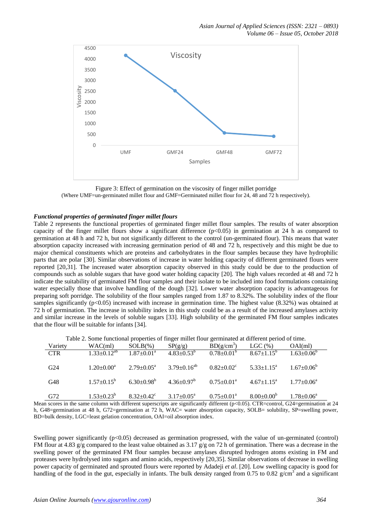

Figure 3: Effect of germination on the viscosity of finger millet porridge (Where UMF=un-germinated millet flour and GMF=Germinated millet flour for 24, 48 and 72 h respectively).

# *Functional properties of germinated finger millet flours*

Table 2 represents the functional properties of germinated finger millet flour samples. The results of water absorption capacity of the finger millet flours show a significant difference  $(p<0.05)$  in germination at 24 h as compared to germination at 48 h and 72 h, but not significantly different to the control (un-germinated flour). This means that water absorption capacity increased with increasing germination period of 48 and 72 h, respectively and this might be due to major chemical constituents which are proteins and carbohydrates in the flour samples because they have hydrophilic parts that are polar [30]. Similar observations of increase in water holding capacity of different germinated flours were reported [20,31]. The increased water absorption capacity observed in this study could be due to the production of compounds such as soluble sugars that have good water holding capacity [20]. The high values recorded at 48 and 72 h indicate the suitability of germinated FM flour samples and their isolate to be included into food formulations containing water especially those that involve handling of the dough [32]. Lower water absorption capacity is advantageous for preparing soft porridge. The solubility of the flour samples ranged from 1.87 to 8.32%. The solubility index of the flour samples significantly (p<0.05) increased with increase in germination time. The highest value (8.32%) was obtained at 72 h of germination. The increase in solubility index in this study could be as a result of the increased amylases activity and similar increase in the levels of soluble sugars [33]. High solubility of the germinated FM flour samples indicates that the flour will be suitable for infants [34].

|  |  |  | Table 2. Some functional properties of finger millet flour germinated at different period of time. |  |  |
|--|--|--|----------------------------------------------------------------------------------------------------|--|--|
|  |  |  |                                                                                                    |  |  |

| Variety    | $WAC$ (ml)                      | $SOLB(\%)$                   | SP(g/g)                                                           | $BD(g/cm^3)$                 | LGC $(\% )$                | OAI(ml)                 |
|------------|---------------------------------|------------------------------|-------------------------------------------------------------------|------------------------------|----------------------------|-------------------------|
| <b>CTR</b> | $1.33 \pm 0.12^{\overline{ab}}$ | $1.87 \pm 0.01^{\text{a}}$   | $4.83 \pm 0.53^b$                                                 | $0.78{\pm0.01}^{\mathrm{b}}$ | $8.67 \pm 1.15^b$          | $1.63 \pm 0.06^b$       |
|            |                                 |                              |                                                                   |                              |                            |                         |
| G24        | $1.20 \pm 0.00^a$               | $2.79+0.05^{\circ}$          | $3.79 \pm 0.16^{ab}$                                              | $0.82{\pm}0.02^{\circ}$      | $5.33 \pm 1.15^{\circ}$    | $1.67 \pm 0.06^{\circ}$ |
|            |                                 |                              |                                                                   |                              |                            |                         |
| G48        | $1.57 \pm 0.15^{\circ}$         |                              | $6.30\pm0.98^{\rm b}$ $4.36\pm0.97^{\rm b}$ $0.75\pm0.01^{\rm a}$ |                              | $4.67 \pm 1.15^{\text{a}}$ | $1.77 \pm 0.06^{\circ}$ |
|            |                                 |                              |                                                                   |                              |                            |                         |
| G72        | $1.53 \pm 0.23^b$               | $8.32 \pm 0.42$ <sup>c</sup> | $3.17 \pm 0.05^{\text{a}}$                                        | $0.75 \pm 0.01^{\rm a}$      | $8.00 \pm 0.00^b$          | $1.78 \pm 0.06^a$       |
|            |                                 |                              |                                                                   |                              |                            |                         |

Mean scores in the same column with different superscripts are significantly different (p<0.05). CTR=control, G24=germination at 24 h, G48=germination at 48 h, G72=germination at 72 h, WAC= water absorption capacity, SOLB= solubility, SP=swelling power, BD=bulk density, LGC=least gelation concentration, OAI=oil absorption index.

Swelling power significantly  $(p<0.05)$  decreased as germination progressed, with the value of un-germinated (control) FM flour at 4.83 g/g compared to the least value obtained as 3.17 g/g on 72 h of germination. There was a decrease in the swelling power of the germinated FM flour samples because amylases disrupted hydrogen atoms existing in FM and proteases were hydrolysed into sugars and amino acids, respectively [20,35]. Similar observations of decrease in swelling power capacity of germinated and sprouted flours were reported by Adadeji *et al*. [20]. Low swelling capacity is good for handling of the food in the gut, especially in infants. The bulk density ranged from  $0.75$  to  $0.82$  g/cm<sup>3</sup> and a significant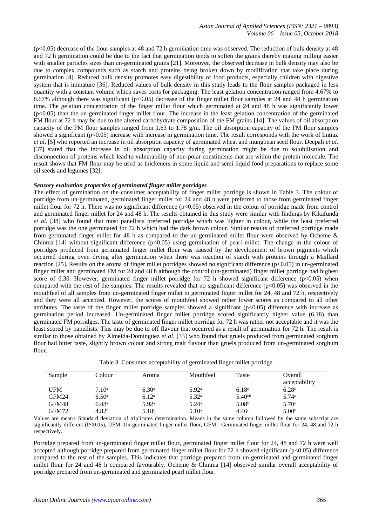(p<0.05) decrease of the flour samples at 48 and 72 h germination time was observed. The reduction of bulk density at 48 and 72 h germination could be due to the fact that germination tends to soften the grains thereby making milling easier with smaller particles sizes than un-germinated grains [21]. Moreover, the observed decrease in bulk density may also be due to complex compounds such as starch and proteins being broken down by modification that take place during germination [4]. Reduced bulk density promotes easy digestibility of food products, especially children with digestive system that is immature [36]. Reduced values of bulk density in this study leads to the flour samples packaged in less quantity with a constant volume which saves costs for packaging. The least gelation concentration ranged from 4.67% to 8.67% although there was significant (p<0.05) decrease of the finger millet flour samples at 24 and 48 h germination time. The gelation concentration of the finger millet flour which germinated at 24 and 48 h was significantly lower (p<0.05) than the un-germinated finger millet flour. The increase in the least gelation concentration of the germinated FM flour at 72 h may be due to the altered carbohydrate composition of the FM grains [14]. The values of oil absorption capacity of the FM flour samples ranged from 1.63 to 1.78  $g/m$ . The oil absorption capacity of the FM flour samples showed a significant  $(p<0.05)$  increase with increase in germination time. The result corresponds with the work of Imtiaz *et al*. [5] who reported an increase in oil absorption capacity of germinated wheat and mungbean seed flour. Deepali *et al*. [37] stated that the increase in oil absorption capacity during germination might be due to solubilisation and disconnection of proteins which lead to vulnerability of non-polar constituents that are within the protein molecule. The result shows that FM flour may be used as thickeners in some liquid and semi liquid food preparations to replace some oil seeds and legumes [32].

# *Sensory evaluation properties of germinated finger millet porridges*

The effect of germination on the consumer acceptability of finger millet porridge is shown in Table 3. The colour of porridge from un-germinated, germinated finger millet for 24 and 48 h were preferred to those from germinated finger millet flour for 72 h. There was no significant difference  $(p<0.05)$  observed in the colour of porridge made from control and germinated finger millet for 24 and 48 h. The results obtained in this study were similar with findings by Kikafunda *et al*. [38] who found that most panellists preferred porridge which was lighter in colour, while the least preferred porridge was the one germinated for 72 h which had the dark brown colour. Similar results of preferred porridge made from germinated finger millet for 48 h as compared to the un-germinated millet flour were observed by Ocheme & Chinma [14] without significant difference  $(p<0.05)$  using germination of pearl millet. The change in the colour of porridges produced from germinated finger millet flour was caused by the development of brown pigments which occurred during oven drying after germination when there was reaction of starch with proteins through a Maillard reaction [25]. Results on the aroma of finger millet porridges showed no significant difference (p<0.05) in un-germinated finger millet and germinated FM for 24 and 48 h although the control (un-germinated) finger millet porridge had highest score of 6.30. However, germinated finger millet porridge for 72 h showed significant difference ( $p<0.05$ ) when compared with the rest of the samples. The results revealed that no significant difference  $(p<0.05)$  was observed in the mouthfeel of all samples from un-germinated finger millet to germinated finger millet for 24, 48 and 72 h, respectively and they were all accepted. However, the scores of mouthfeel showed rather lower scores as compared to all other attributes. The taste of the finger millet porridge samples showed a significant (p<0.05) difference with increase as germination period increased. Un-germinated finger millet porridge scored significantly higher value (6.18) than germinated FM porridges. The taste of germinated finger millet porridge for 72 h was rather not acceptable and it was the least scored by panellists. This may be due to off flavour that occurred as a result of germination for 72 h. The result is similar to those obtained by Almeida-Dominguez *et al*. [33] who found that gruels produced from germinated sorghum flour had bitter taste, slightly brown colour and strong malt flavour than gruels produced from un-germinated sorghum flour.

| Sample     | Colour            | Aroma             | Mouthfeel      | Taste             | Overall<br>acceptability |
|------------|-------------------|-------------------|----------------|-------------------|--------------------------|
| <b>UFM</b> | $7.10^{\circ}$    | 6.30 <sup>a</sup> | $5.92^{\rm a}$ | 6.18 <sup>a</sup> | 6.28a                    |
| GFM24      | 6.50 <sup>a</sup> | 6.12 <sup>a</sup> | $5.32^{\rm a}$ | $5.40^{ab}$       | 5.74a                    |
| GFM48      | $6.48^{\rm a}$    | $5.92^{\rm a}$    | $5.24^{\circ}$ | 5.08 <sup>b</sup> | 5.70a                    |
| GFM72      | 4.82 <sup>b</sup> | 5.18 <sup>b</sup> | $5.10^{\circ}$ | 4.46 <sup>c</sup> | 5.00 <sup>b</sup>        |

Values are mean± Standard deviation of triplicates determination. Means in the same column followed by the same subscript are significantly different (P<0.05), UFM=Un-germinated finger millet flour, GFM= Germinated finger millet flour for 24, 48 and 72 h respectively.

Porridge prepared from un-germinated finger millet flour, germinated finger millet flour for 24, 48 and 72 h were well accepted although porridge prepared from germinated finger millet flour for 72 h showed significant (p<0.05) difference compared to the rest of the samples. This indicates that porridge prepared from un-germinated and germinated finger millet flour for 24 and 48 h compared favourably. Ocheme & Chinma [14] observed similar overall acceptability of porridge prepared from un-germinated and germinated pearl millet flour.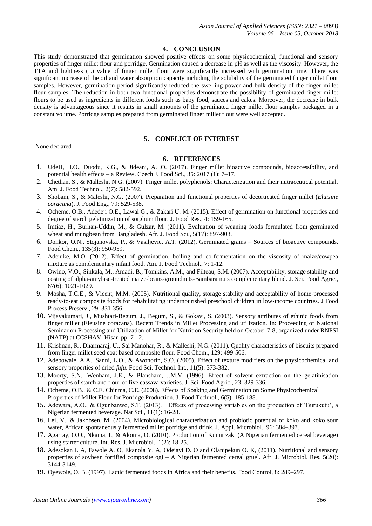# **4. CONCLUSION**

This study demonstrated that germination showed positive effects on some physicochemical, functional and sensory properties of finger millet flour and porridge. Germination caused a decrease in pH as well as the viscosity. However, the TTA and lightness (L) value of finger millet flour were significantly increased with germination time. There was significant increase of the oil and water absorption capacity including the solubility of the germinated finger millet flour samples. However, germination period significantly reduced the swelling power and bulk density of the finger millet flour samples. The reduction in both two functional properties demonstrate the possibility of germinated finger millet flours to be used as ingredients in different foods such as baby food, sauces and cakes. Moreover, the decrease in bulk density is advantageous since it results in small amounts of the germinated finger millet flour samples packaged in a constant volume. Porridge samples prepared from germinated finger millet flour were well accepted.

# **5. CONFLICT OF INTEREST**

None declared

# **6. REFERENCES**

- 1. UdeH, H.O., Duodu, K.G., & Jideani, A.I.O. (2017). Finger millet bioactive compounds, bioaccessibility, and potential health effects – a Review. Czech J. Food Sci., 35: 2017 (1): 7–17.
- 2. Chethan, S., & Malleshi, N.G. (2007). Finger millet polyphenols: Characterization and their nutraceutical potential. Am. J. Food Technol., 2(7): 582-592.
- 3. Shobani, S., & Maleshi, N.G. (2007). Preparation and functional properties of decorticated finger millet (*Eluisine coracana*). J. Food Eng., 79: 529-538.
- 4. Ocheme, O.B., Adedeji O.E., Lawal G., & Zakari U. M. (2015). Effect of germination on functional properties and degree of starch gelatinization of sorghum flour. J. Food Res., 4: 159-165.
- 5. Imtiaz, H., Burhan-Uddin, M., & Gulzar, M. (2011). Evaluation of weaning foods formulated from germinated wheat and mungbean from Bangladesh. Afr. J. Food Sci., 5(17): 897-903.
- 6. Donkor, O.N., Stojanovska, P., & Vasiljevic, A.T. (2012). Germinated grains Sources of bioactive compounds. Food Chem., 135(3): 950-959.
- 7. Adenike, M.O. (2012). Effect of germination, boiling and co-fermentation on the viscosity of maize/cowpea mixture as complementary infant food. Am. J. Food Technol., 7: 1-12.
- 8. Owino, V.O., Sinkala, M., Amadi, B., Tomkins, A.M., and Filteau, S.M. (2007). Acceptability, storage stability and costing of alpha-amylase-treated maize-beans-groundnuts-Bambara nuts complementary blend. J. Sci. Food Agric., 87(6): 1021-1029.
- 9. Mosha, T.C.E., & Vicent, M.M. (2005). Nutritional quality, storage stability and acceptability of home-processed ready‐to‐eat composite foods for rehabilitating undernourished preschool children in low‐income countries. J Food Process Preserv., 29: 331-356.
- 10. Vijayakumari, J., Mushtari-Begum, J., Begum, S., & Gokavi, S. (2003). Sensory attributes of ethinic foods from finger millet (Eleusine coracana). Recent Trends in Millet Processing and utilization. In: Proceeding of National Seminar on Processing and Utilization of Millet for Nutrition Security held on October 7-8, organized under RNPSI (NATP) at CCSHAV, Hisar. pp. 7-12.
- 11. Krishnan, R., Dharmaraj, U., Sai Manohar, R., & Malleshi, N.G. (2011). Quality characteristics of biscuits prepared from finger millet seed coat based composite flour. Food Chem., 129: 499-506.
- 12. Adebowale, A.A., Sanni, L.O., & Awonorin, S.O. (2005). Effect of texture modifiers on the physicochemical and sensory properties of dried *fufu*. Food Sci. Technol. Int., 11(5): 373-382.
- 13. Moorty, S.N., Wenham, J.E., & Blanshard, J.M.V. (1996). Effect of solvent extraction on the gelatinisation properties of starch and flour of five cassava varieties. J. Sci. Food Agric., 23: 329-336.
- 14. Ocheme, O.B., & C.E. Chinma, C.E. (2008). Effects of Soaking and Germination on Some Physicochemical Properties of Millet Flour for Porridge Production. J. Food Technol., 6(5): 185-188.
- 15. Adewara, A.O., & Ogunbanwo, S.T. (2013). Effects of processing variables on the production of 'Burukutu', a Nigerian fermented beverage. Nat Sci., 11(1): 16-28.
- 16. Lei, V., & Jakobsen, M. (2004). Microbiological characterization and probiotic potential of koko and koko sour water, African spontaneously fermented millet porridge and drink. J. Appl. Microbiol., 96: 384–397.
- 17. Agarray, O.O., Nkama, I., & Akoma, O. (2010). Production of Kunni zaki (A Nigerian fermented cereal beverage) using starter culture. Int. Res. J. Microbiol., 1(2): 18-25.
- 18. Adesokan I. A, Fawole A. O, Ekanola Y. A, Odejayi D. O and Olanipekun O. K, (2011). Nutritional and sensory properties of soybean fortified composite ogi – A Nigerian fermented cereal gruel. Afr. J. Microbiol. Res. 5(20): 3144-3149.
- 19. Oyewole, O. B, (1997). Lactic fermented foods in Africa and their benefits. Food Control, 8: 289–297.